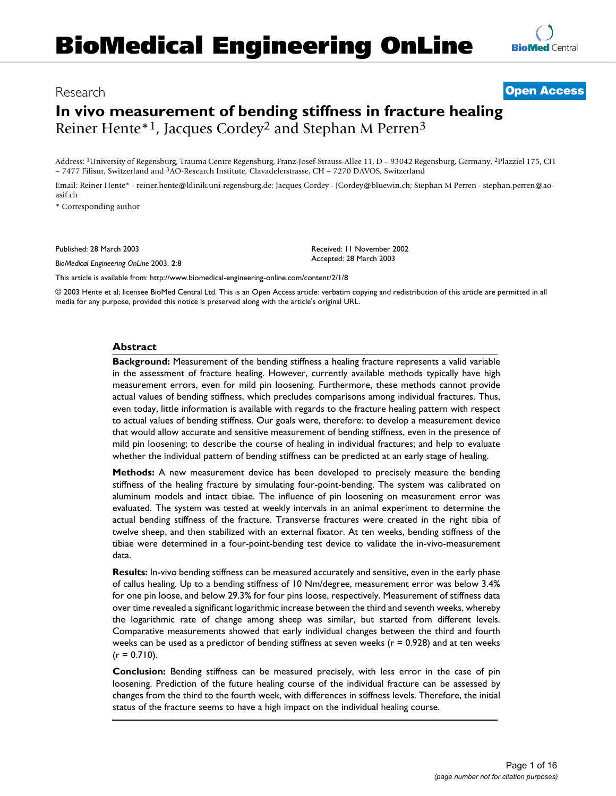

# Research **[Open Access](http://www.biomedcentral.com/info/about/charter/)**

**[BioMed](http://www.biomedcentral.com/)** Central

# **In vivo measurement of bending stiffness in fracture healing** Reiner Hente\*<sup>1</sup>, Jacques Cordey<sup>2</sup> and Stephan M Perren<sup>3</sup>

Address: 1University of Regensburg, Trauma Centre Regensburg, Franz-Josef-Strauss-Allee 11, D – 93042 Regensburg, Germany, 2Plazziel 175, CH – 7477 Filisur, Switzerland and 3AO-Research Institute, Clavadelerstrasse, CH – 7270 DAVOS, Switzerland

Email: Reiner Hente\* - reiner.hente@klinik.uni-regensburg.de; Jacques Cordey - JCordey@bluewin.ch; Stephan M Perren - stephan.perren@aoasif.ch

\* Corresponding author

Published: 28 March 2003

*BioMedical Engineering OnLine* 2003, **2**:8

Received: 11 November 2002 Accepted: 28 March 2003

[This article is available from: http://www.biomedical-engineering-online.com/content/2/1/8](http://www.biomedical-engineering-online.com/content/2/1/8)

© 2003 Hente et al; licensee BioMed Central Ltd. This is an Open Access article: verbatim copying and redistribution of this article are permitted in all media for any purpose, provided this notice is preserved along with the article's original URL.

# **Abstract**

**Background:** Measurement of the bending stiffness a healing fracture represents a valid variable in the assessment of fracture healing. However, currently available methods typically have high measurement errors, even for mild pin loosening. Furthermore, these methods cannot provide actual values of bending stiffness, which precludes comparisons among individual fractures. Thus, even today, little information is available with regards to the fracture healing pattern with respect to actual values of bending stiffness. Our goals were, therefore: to develop a measurement device that would allow accurate and sensitive measurement of bending stiffness, even in the presence of mild pin loosening; to describe the course of healing in individual fractures; and help to evaluate whether the individual pattern of bending stiffness can be predicted at an early stage of healing.

**Methods:** A new measurement device has been developed to precisely measure the bending stiffness of the healing fracture by simulating four-point-bending. The system was calibrated on aluminum models and intact tibiae. The influence of pin loosening on measurement error was evaluated. The system was tested at weekly intervals in an animal experiment to determine the actual bending stiffness of the fracture. Transverse fractures were created in the right tibia of twelve sheep, and then stabilized with an external fixator. At ten weeks, bending stiffness of the tibiae were determined in a four-point-bending test device to validate the in-vivo-measurement data.

**Results:** In-vivo bending stiffness can be measured accurately and sensitive, even in the early phase of callus healing. Up to a bending stiffness of 10 Nm/degree, measurement error was below 3.4% for one pin loose, and below 29.3% for four pins loose, respectively. Measurement of stiffness data over time revealed a significant logarithmic increase between the third and seventh weeks, whereby the logarithmic rate of change among sheep was similar, but started from different levels. Comparative measurements showed that early individual changes between the third and fourth weeks can be used as a predictor of bending stiffness at seven weeks ( $r = 0.928$ ) and at ten weeks  $(r = 0.710)$ .

**Conclusion:** Bending stiffness can be measured precisely, with less error in the case of pin loosening. Prediction of the future healing course of the individual fracture can be assessed by changes from the third to the fourth week, with differences in stiffness levels. Therefore, the initial status of the fracture seems to have a high impact on the individual healing course.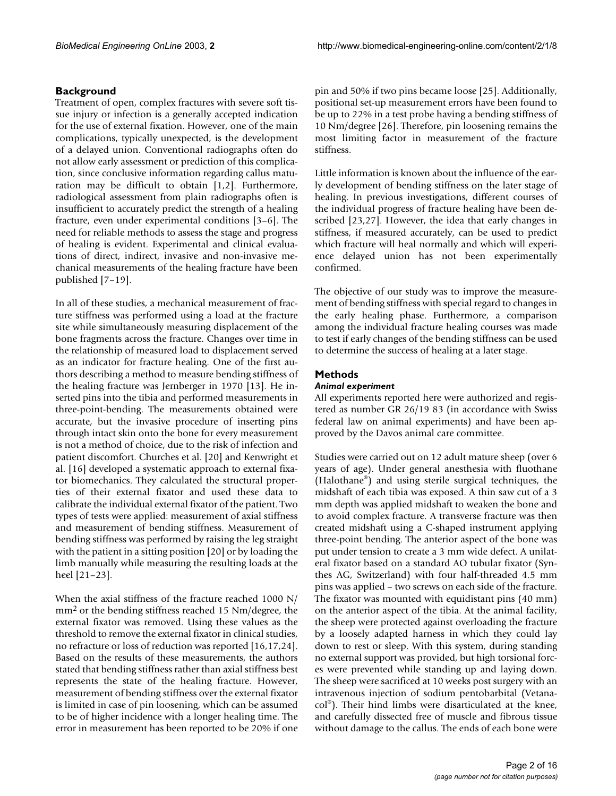# **Background**

Treatment of open, complex fractures with severe soft tissue injury or infection is a generally accepted indication for the use of external fixation. However, one of the main complications, typically unexpected, is the development of a delayed union. Conventional radiographs often do not allow early assessment or prediction of this complication, since conclusive information regarding callus maturation may be difficult to obtain [1,2]. Furthermore, radiological assessment from plain radiographs often is insufficient to accurately predict the strength of a healing fracture, even under experimental conditions [3–6]. The need for reliable methods to assess the stage and progress of healing is evident. Experimental and clinical evaluations of direct, indirect, invasive and non-invasive mechanical measurements of the healing fracture have been published [7–19].

In all of these studies, a mechanical measurement of fracture stiffness was performed using a load at the fracture site while simultaneously measuring displacement of the bone fragments across the fracture. Changes over time in the relationship of measured load to displacement served as an indicator for fracture healing. One of the first authors describing a method to measure bending stiffness of the healing fracture was Jernberger in 1970 [13]. He inserted pins into the tibia and performed measurements in three-point-bending. The measurements obtained were accurate, but the invasive procedure of inserting pins through intact skin onto the bone for every measurement is not a method of choice, due to the risk of infection and patient discomfort. Churches et al. [20] and Kenwright et al. [16] developed a systematic approach to external fixator biomechanics. They calculated the structural properties of their external fixator and used these data to calibrate the individual external fixator of the patient. Two types of tests were applied: measurement of axial stiffness and measurement of bending stiffness. Measurement of bending stiffness was performed by raising the leg straight with the patient in a sitting position [20] or by loading the limb manually while measuring the resulting loads at the heel [21–23].

When the axial stiffness of the fracture reached 1000 N/ mm<sup>2</sup> or the bending stiffness reached 15 Nm/degree, the external fixator was removed. Using these values as the threshold to remove the external fixator in clinical studies, no refracture or loss of reduction was reported [16,17,24]. Based on the results of these measurements, the authors stated that bending stiffness rather than axial stiffness best represents the state of the healing fracture. However, measurement of bending stiffness over the external fixator is limited in case of pin loosening, which can be assumed to be of higher incidence with a longer healing time. The error in measurement has been reported to be 20% if one pin and 50% if two pins became loose [25]. Additionally, positional set-up measurement errors have been found to be up to 22% in a test probe having a bending stiffness of 10 Nm/degree [26]. Therefore, pin loosening remains the most limiting factor in measurement of the fracture stiffness.

Little information is known about the influence of the early development of bending stiffness on the later stage of healing. In previous investigations, different courses of the individual progress of fracture healing have been described [23,27]. However, the idea that early changes in stiffness, if measured accurately, can be used to predict which fracture will heal normally and which will experience delayed union has not been experimentally confirmed.

The objective of our study was to improve the measurement of bending stiffness with special regard to changes in the early healing phase. Furthermore, a comparison among the individual fracture healing courses was made to test if early changes of the bending stiffness can be used to determine the success of healing at a later stage.

# **Methods**

# *Animal experiment*

All experiments reported here were authorized and registered as number GR 26/19 83 (in accordance with Swiss federal law on animal experiments) and have been approved by the Davos animal care committee.

Studies were carried out on 12 adult mature sheep (over 6 years of age). Under general anesthesia with fluothane (Halothane®) and using sterile surgical techniques, the midshaft of each tibia was exposed. A thin saw cut of a 3 mm depth was applied midshaft to weaken the bone and to avoid complex fracture. A transverse fracture was then created midshaft using a C-shaped instrument applying three-point bending. The anterior aspect of the bone was put under tension to create a 3 mm wide defect. A unilateral fixator based on a standard AO tubular fixator (Synthes AG, Switzerland) with four half-threaded 4.5 mm pins was applied – two screws on each side of the fracture. The fixator was mounted with equidistant pins (40 mm) on the anterior aspect of the tibia. At the animal facility, the sheep were protected against overloading the fracture by a loosely adapted harness in which they could lay down to rest or sleep. With this system, during standing no external support was provided, but high torsional forces were prevented while standing up and laying down. The sheep were sacrificed at 10 weeks post surgery with an intravenous injection of sodium pentobarbital (Vetanacol®). Their hind limbs were disarticulated at the knee, and carefully dissected free of muscle and fibrous tissue without damage to the callus. The ends of each bone were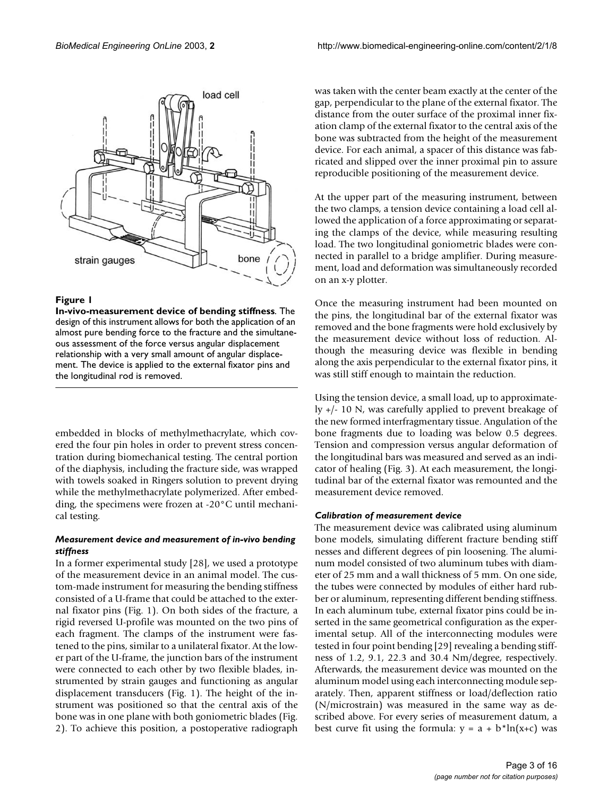

**In-vivo-measurement device of bending stiffness**. The design of this instrument allows for both the application of an almost pure bending force to the fracture and the simultaneous assessment of the force versus angular displacement relationship with a very small amount of angular displacement. The device is applied to the external fixator pins and the longitudinal rod is removed.

embedded in blocks of methylmethacrylate, which covered the four pin holes in order to prevent stress concentration during biomechanical testing. The central portion of the diaphysis, including the fracture side, was wrapped with towels soaked in Ringers solution to prevent drying while the methylmethacrylate polymerized. After embedding, the specimens were frozen at -20°C until mechanical testing.

# *Measurement device and measurement of in-vivo bending stiffness*

In a former experimental study [28], we used a prototype of the measurement device in an animal model. The custom-made instrument for measuring the bending stiffness consisted of a U-frame that could be attached to the external fixator pins (Fig. 1). On both sides of the fracture, a rigid reversed U-profile was mounted on the two pins of each fragment. The clamps of the instrument were fastened to the pins, similar to a unilateral fixator. At the lower part of the U-frame, the junction bars of the instrument were connected to each other by two flexible blades, instrumented by strain gauges and functioning as angular displacement transducers (Fig. 1). The height of the instrument was positioned so that the central axis of the bone was in one plane with both goniometric blades (Fig. [2\)](#page-3-0). To achieve this position, a postoperative radiograph was taken with the center beam exactly at the center of the gap, perpendicular to the plane of the external fixator. The distance from the outer surface of the proximal inner fixation clamp of the external fixator to the central axis of the bone was subtracted from the height of the measurement device. For each animal, a spacer of this distance was fabricated and slipped over the inner proximal pin to assure reproducible positioning of the measurement device.

At the upper part of the measuring instrument, between the two clamps, a tension device containing a load cell allowed the application of a force approximating or separating the clamps of the device, while measuring resulting load. The two longitudinal goniometric blades were connected in parallel to a bridge amplifier. During measurement, load and deformation was simultaneously recorded on an x-y plotter.

Once the measuring instrument had been mounted on the pins, the longitudinal bar of the external fixator was removed and the bone fragments were hold exclusively by the measurement device without loss of reduction. Although the measuring device was flexible in bending along the axis perpendicular to the external fixator pins, it was still stiff enough to maintain the reduction.

Using the tension device, a small load, up to approximately +/- 10 N, was carefully applied to prevent breakage of the new formed interfragmentary tissue. Angulation of the bone fragments due to loading was below 0.5 degrees. Tension and compression versus angular deformation of the longitudinal bars was measured and served as an indicator of healing (Fig. [3](#page-4-0)). At each measurement, the longitudinal bar of the external fixator was remounted and the measurement device removed.

# *Calibration of measurement device*

The measurement device was calibrated using aluminum bone models, simulating different fracture bending stiff nesses and different degrees of pin loosening. The aluminum model consisted of two aluminum tubes with diameter of 25 mm and a wall thickness of 5 mm. On one side, the tubes were connected by modules of either hard rubber or aluminum, representing different bending stiffness. In each aluminum tube, external fixator pins could be inserted in the same geometrical configuration as the experimental setup. All of the interconnecting modules were tested in four point bending [29] revealing a bending stiffness of 1.2, 9.1, 22.3 and 30.4 Nm/degree, respectively. Afterwards, the measurement device was mounted on the aluminum model using each interconnecting module separately. Then, apparent stiffness or load/deflection ratio (N/microstrain) was measured in the same way as described above. For every series of measurement datum, a best curve fit using the formula:  $y = a + b^*ln(x+c)$  was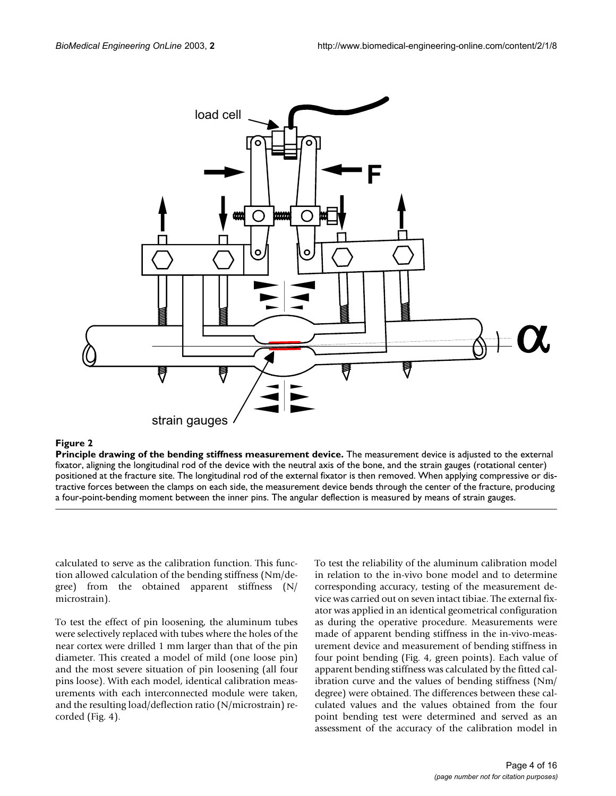<span id="page-3-0"></span>

**Principle drawing of the bending stiffness measurement device.** The measurement device is adjusted to the external fixator, aligning the longitudinal rod of the device with the neutral axis of the bone, and the strain gauges (rotational center) positioned at the fracture site. The longitudinal rod of the external fixator is then removed. When applying compressive or distractive forces between the clamps on each side, the measurement device bends through the center of the fracture, producing a four-point-bending moment between the inner pins. The angular deflection is measured by means of strain gauges.

calculated to serve as the calibration function. This function allowed calculation of the bending stiffness (Nm/degree) from the obtained apparent stiffness (N/ microstrain).

To test the effect of pin loosening, the aluminum tubes were selectively replaced with tubes where the holes of the near cortex were drilled 1 mm larger than that of the pin diameter. This created a model of mild (one loose pin) and the most severe situation of pin loosening (all four pins loose). With each model, identical calibration measurements with each interconnected module were taken, and the resulting load/deflection ratio (N/microstrain) recorded (Fig. [4](#page-5-0)).

To test the reliability of the aluminum calibration model in relation to the in-vivo bone model and to determine corresponding accuracy, testing of the measurement device was carried out on seven intact tibiae. The external fixator was applied in an identical geometrical configuration as during the operative procedure. Measurements were made of apparent bending stiffness in the in-vivo-measurement device and measurement of bending stiffness in four point bending (Fig. [4,](#page-5-0) green points). Each value of apparent bending stiffness was calculated by the fitted calibration curve and the values of bending stiffness (Nm/ degree) were obtained. The differences between these calculated values and the values obtained from the four point bending test were determined and served as an assessment of the accuracy of the calibration model in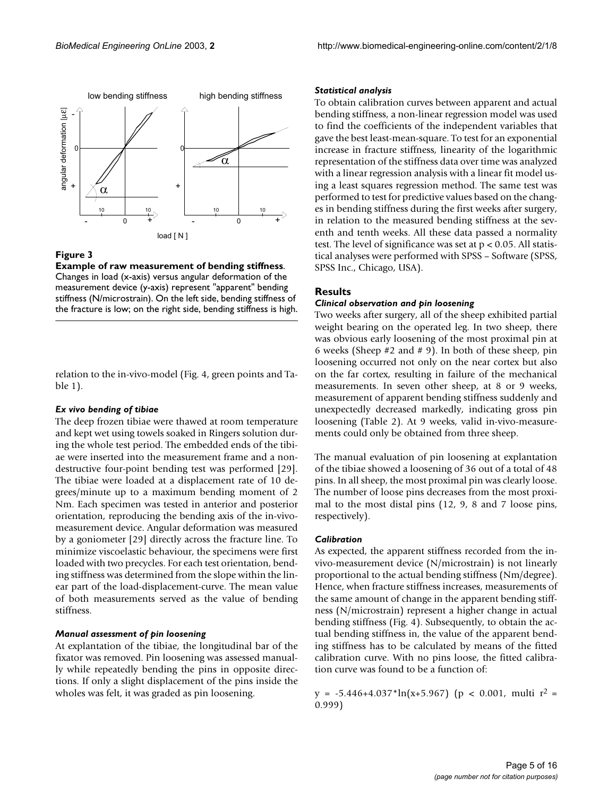<span id="page-4-0"></span>

**Example of raw measurement of bending stiffness**. Changes in load (x-axis) versus angular deformation of the measurement device (y-axis) represent "apparent" bending stiffness (N/microstrain). On the left side, bending stiffness of the fracture is low; on the right side, bending stiffness is high.

relation to the in-vivo-model (Fig. [4,](#page-5-0) green points and Table [1](#page-6-0)).

## *Ex vivo bending of tibiae*

The deep frozen tibiae were thawed at room temperature and kept wet using towels soaked in Ringers solution during the whole test period. The embedded ends of the tibiae were inserted into the measurement frame and a nondestructive four-point bending test was performed [29]. The tibiae were loaded at a displacement rate of 10 degrees/minute up to a maximum bending moment of 2 Nm. Each specimen was tested in anterior and posterior orientation, reproducing the bending axis of the in-vivomeasurement device. Angular deformation was measured by a goniometer [29] directly across the fracture line. To minimize viscoelastic behaviour, the specimens were first loaded with two precycles. For each test orientation, bending stiffness was determined from the slope within the linear part of the load-displacement-curve. The mean value of both measurements served as the value of bending stiffness.

## *Manual assessment of pin loosening*

At explantation of the tibiae, the longitudinal bar of the fixator was removed. Pin loosening was assessed manually while repeatedly bending the pins in opposite directions. If only a slight displacement of the pins inside the wholes was felt, it was graded as pin loosening.

## *Statistical analysis*

To obtain calibration curves between apparent and actual bending stiffness, a non-linear regression model was used to find the coefficients of the independent variables that gave the best least-mean-square. To test for an exponential increase in fracture stiffness, linearity of the logarithmic representation of the stiffness data over time was analyzed with a linear regression analysis with a linear fit model using a least squares regression method. The same test was performed to test for predictive values based on the changes in bending stiffness during the first weeks after surgery, in relation to the measured bending stiffness at the seventh and tenth weeks. All these data passed a normality test. The level of significance was set at  $p < 0.05$ . All statistical analyses were performed with SPSS – Software (SPSS, SPSS Inc., Chicago, USA).

## **Results**

## *Clinical observation and pin loosening*

Two weeks after surgery, all of the sheep exhibited partial weight bearing on the operated leg. In two sheep, there was obvious early loosening of the most proximal pin at 6 weeks (Sheep #2 and # 9). In both of these sheep, pin loosening occurred not only on the near cortex but also on the far cortex, resulting in failure of the mechanical measurements. In seven other sheep, at 8 or 9 weeks, measurement of apparent bending stiffness suddenly and unexpectedly decreased markedly, indicating gross pin loosening (Table [2\)](#page-6-1). At 9 weeks, valid in-vivo-measurements could only be obtained from three sheep.

The manual evaluation of pin loosening at explantation of the tibiae showed a loosening of 36 out of a total of 48 pins. In all sheep, the most proximal pin was clearly loose. The number of loose pins decreases from the most proximal to the most distal pins (12, 9, 8 and 7 loose pins, respectively).

### *Calibration*

As expected, the apparent stiffness recorded from the invivo-measurement device (N/microstrain) is not linearly proportional to the actual bending stiffness (Nm/degree). Hence, when fracture stiffness increases, measurements of the same amount of change in the apparent bending stiffness (N/microstrain) represent a higher change in actual bending stiffness (Fig. [4\)](#page-5-0). Subsequently, to obtain the actual bending stiffness in, the value of the apparent bending stiffness has to be calculated by means of the fitted calibration curve. With no pins loose, the fitted calibration curve was found to be a function of:

 $y = -5.446+4.037*ln(x+5.967)$  (p < 0.001, multi r<sup>2</sup> = 0.999)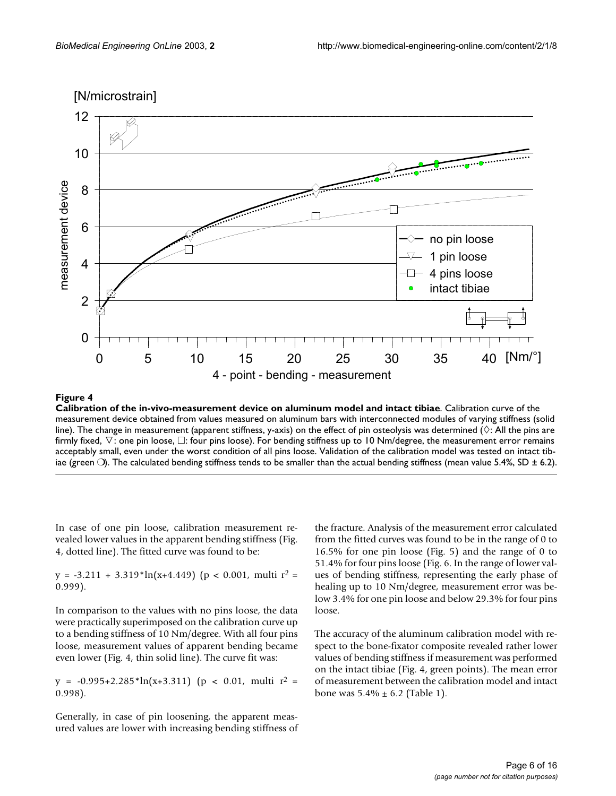<span id="page-5-0"></span>

**Calibration of the in-vivo-measurement device on aluminum model and intact tibiae**. Calibration curve of the measurement device obtained from values measured on aluminum bars with interconnected modules of varying stiffness (solid line). The change in measurement (apparent stiffness, y-axis) on the effect of pin osteolysis was determined  $(\Diamond$ : All the pins are firmly fixed,  $\nabla$ : one pin loose,  $\Box$ : four pins loose). For bending stiffness up to 10 Nm/degree, the measurement error remains acceptably small, even under the worst condition of all pins loose. Validation of the calibration model was tested on intact tibiae (green  $\bigcirc$ ). The calculated bending stiffness tends to be smaller than the actual bending stiffness (mean value 5.4%, SD  $\pm$  6.2).

In case of one pin loose, calibration measurement revealed lower values in the apparent bending stiffness (Fig. [4,](#page-5-0) dotted line). The fitted curve was found to be:

 $y = -3.211 + 3.319*ln(x+4.449)$  (p < 0.001, multi r<sup>2</sup> = 0.999).

In comparison to the values with no pins loose, the data were practically superimposed on the calibration curve up to a bending stiffness of 10 Nm/degree. With all four pins loose, measurement values of apparent bending became even lower (Fig. [4](#page-5-0), thin solid line). The curve fit was:

 $y = -0.995 + 2.285 * ln(x+3.311)$  ( $p < 0.01$ , multi  $r^2 =$ 0.998).

Generally, in case of pin loosening, the apparent measured values are lower with increasing bending stiffness of the fracture. Analysis of the measurement error calculated from the fitted curves was found to be in the range of 0 to 16.5% for one pin loose (Fig. [5](#page-7-0)) and the range of 0 to 51.4% for four pins loose (Fig. [6.](#page-8-0) In the range of lower values of bending stiffness, representing the early phase of healing up to 10 Nm/degree, measurement error was below 3.4% for one pin loose and below 29.3% for four pins loose.

The accuracy of the aluminum calibration model with respect to the bone-fixator composite revealed rather lower values of bending stiffness if measurement was performed on the intact tibiae (Fig. [4,](#page-5-0) green points). The mean error of measurement between the calibration model and intact bone was  $5.4\% \pm 6.2$  (Table [1](#page-6-0)).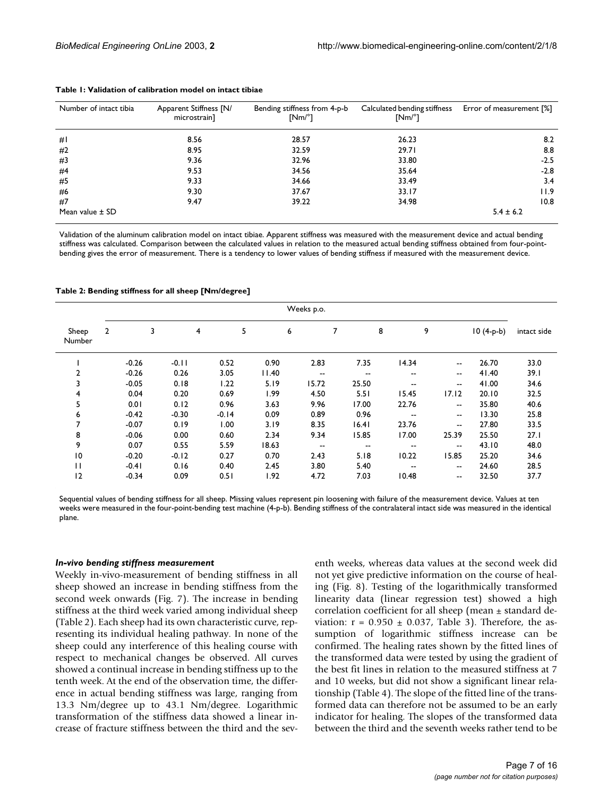| Number of intact tibia | Apparent Stiffness [N/<br>microstrain] | Bending stiffness from 4-p-b<br>[Nm/°] | Calculated bending stiffness<br>[Nm/°] | Error of measurement [%] |
|------------------------|----------------------------------------|----------------------------------------|----------------------------------------|--------------------------|
| #I                     | 8.56                                   | 28.57                                  | 26.23                                  | 8.2                      |
| #2                     | 8.95                                   | 32.59                                  | 29.71                                  | 8.8                      |
| #3                     | 9.36                                   | 32.96                                  | 33.80                                  | $-2.5$                   |
| #4                     | 9.53                                   | 34.56                                  | 35.64                                  | $-2.8$                   |
| #5                     | 9.33                                   | 34.66                                  | 33.49                                  | 3.4                      |
| #6                     | 9.30                                   | 37.67                                  | 33.17                                  | 11.9                     |
| #7                     | 9.47                                   | 39.22                                  | 34.98                                  | 10.8                     |
| Mean value $\pm$ SD    |                                        |                                        |                                        | $5.4 \pm 6.2$            |

#### <span id="page-6-0"></span>**Table 1: Validation of calibration model on intact tibiae**

Validation of the aluminum calibration model on intact tibiae. Apparent stiffness was measured with the measurement device and actual bending stiffness was calculated. Comparison between the calculated values in relation to the measured actual bending stiffness obtained from four-pointbending gives the error of measurement. There is a tendency to lower values of bending stiffness if measured with the measurement device.

|                        | Weeks p.o.     |         |         |         |       |       |       |       |                          |             |             |
|------------------------|----------------|---------|---------|---------|-------|-------|-------|-------|--------------------------|-------------|-------------|
| Sheep<br><b>Number</b> | $\overline{2}$ |         | 3       | 4       | 5     | 6     | 7     | 8     | 9                        | $10(4-p-b)$ | intact side |
|                        |                | $-0.26$ | $-0.11$ | 0.52    | 0.90  | 2.83  | 7.35  | 14.34 | --                       | 26.70       | 33.0        |
| $\overline{2}$         |                | $-0.26$ | 0.26    | 3.05    | 11.40 | --    | --    | --    | $- -$                    | 41.40       | 39. I       |
| 3                      |                | $-0.05$ | 0.18    | 1.22    | 5.19  | 15.72 | 25.50 | --    | --                       | 41.00       | 34.6        |
| 4                      |                | 0.04    | 0.20    | 0.69    | 1.99  | 4.50  | 5.51  | 15.45 | 17.12                    | 20.10       | 32.5        |
| 5                      |                | 0.01    | 0.12    | 0.96    | 3.63  | 9.96  | 17.00 | 22.76 | $\overline{\phantom{a}}$ | 35.80       | 40.6        |
| 6                      |                | $-0.42$ | $-0.30$ | $-0.14$ | 0.09  | 0.89  | 0.96  | --    | --                       | 13.30       | 25.8        |
|                        |                | $-0.07$ | 0.19    | 1.00    | 3.19  | 8.35  | 16.41 | 23.76 | --                       | 27.80       | 33.5        |
| 8                      |                | $-0.06$ | 0.00    | 0.60    | 2.34  | 9.34  | 15.85 | 17.00 | 25.39                    | 25.50       | 27.1        |
| 9                      |                | 0.07    | 0.55    | 5.59    | 18.63 | --    | $- -$ | $- -$ | --                       | 43.10       | 48.0        |
| 10                     |                | $-0.20$ | $-0.12$ | 0.27    | 0.70  | 2.43  | 5.18  | 10.22 | 15.85                    | 25.20       | 34.6        |
| П                      |                | $-0.41$ | 0.16    | 0.40    | 2.45  | 3.80  | 5.40  | --    | $\overline{\phantom{a}}$ | 24.60       | 28.5        |
| 2                      |                | $-0.34$ | 0.09    | 0.51    | 1.92  | 4.72  | 7.03  | 10.48 | --                       | 32.50       | 37.7        |

<span id="page-6-1"></span>**Table 2: Bending stiffness for all sheep [Nm/degree]**

Sequential values of bending stiffness for all sheep. Missing values represent pin loosening with failure of the measurement device. Values at ten weeks were measured in the four-point-bending test machine (4-p-b). Bending stiffness of the contralateral intact side was measured in the identical plane.

# *In-vivo bending stiffness measurement*

Weekly in-vivo-measurement of bending stiffness in all sheep showed an increase in bending stiffness from the second week onwards (Fig. 7). The increase in bending stiffness at the third week varied among individual sheep (Table [2](#page-6-1)). Each sheep had its own characteristic curve, representing its individual healing pathway. In none of the sheep could any interference of this healing course with respect to mechanical changes be observed. All curves showed a continual increase in bending stiffness up to the tenth week. At the end of the observation time, the difference in actual bending stiffness was large, ranging from 13.3 Nm/degree up to 43.1 Nm/degree. Logarithmic transformation of the stiffness data showed a linear increase of fracture stiffness between the third and the seventh weeks, whereas data values at the second week did not yet give predictive information on the course of healing (Fig. 8). Testing of the logarithmically transformed linearity data (linear regression test) showed a high correlation coefficient for all sheep (mean ± standard deviation:  $r = 0.950 \pm 0.037$ , Table [3\)](#page-11-0). Therefore, the assumption of logarithmic stiffness increase can be confirmed. The healing rates shown by the fitted lines of the transformed data were tested by using the gradient of the best fit lines in relation to the measured stiffness at 7 and 10 weeks, but did not show a significant linear relationship (Table [4\)](#page-11-1). The slope of the fitted line of the transformed data can therefore not be assumed to be an early indicator for healing. The slopes of the transformed data between the third and the seventh weeks rather tend to be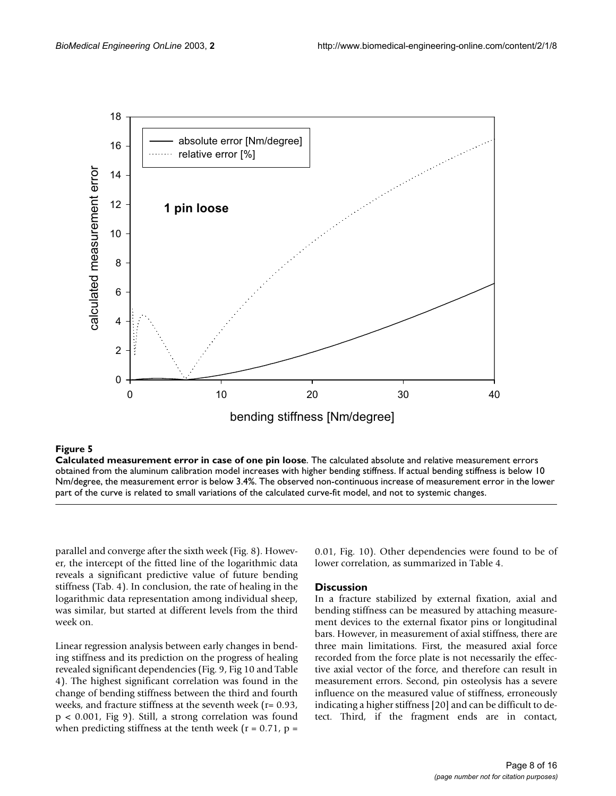<span id="page-7-0"></span>

**Calculated measurement error in case of one pin loose**. The calculated absolute and relative measurement errors obtained from the aluminum calibration model increases with higher bending stiffness. If actual bending stiffness is below 10 Nm/degree, the measurement error is below 3.4%. The observed non-continuous increase of measurement error in the lower part of the curve is related to small variations of the calculated curve-fit model, and not to systemic changes.

parallel and converge after the sixth week (Fig. 8). However, the intercept of the fitted line of the logarithmic data reveals a significant predictive value of future bending stiffness (Tab. 4). In conclusion, the rate of healing in the logarithmic data representation among individual sheep, was similar, but started at different levels from the third week on.

Linear regression analysis between early changes in bending stiffness and its prediction on the progress of healing revealed significant dependencies (Fig. [9](#page-12-0), Fig [10](#page-13-0) and Table [4\)](#page-11-1). The highest significant correlation was found in the change of bending stiffness between the third and fourth weeks, and fracture stiffness at the seventh week (r= 0.93, p < 0.001, Fig [9](#page-12-0)). Still, a strong correlation was found when predicting stiffness at the tenth week ( $r = 0.71$ ,  $p =$ 

0.01, Fig. [10](#page-13-0)). Other dependencies were found to be of lower correlation, as summarized in Table [4](#page-11-1).

# **Discussion**

In a fracture stabilized by external fixation, axial and bending stiffness can be measured by attaching measurement devices to the external fixator pins or longitudinal bars. However, in measurement of axial stiffness, there are three main limitations. First, the measured axial force recorded from the force plate is not necessarily the effective axial vector of the force, and therefore can result in measurement errors. Second, pin osteolysis has a severe influence on the measured value of stiffness, erroneously indicating a higher stiffness [20] and can be difficult to detect. Third, if the fragment ends are in contact,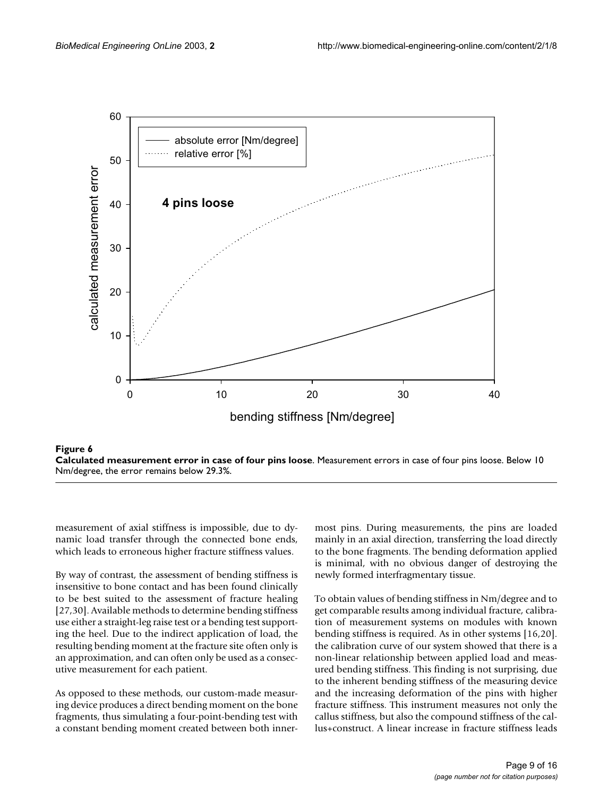<span id="page-8-0"></span>



measurement of axial stiffness is impossible, due to dynamic load transfer through the connected bone ends, which leads to erroneous higher fracture stiffness values.

By way of contrast, the assessment of bending stiffness is insensitive to bone contact and has been found clinically to be best suited to the assessment of fracture healing [27,30]. Available methods to determine bending stiffness use either a straight-leg raise test or a bending test supporting the heel. Due to the indirect application of load, the resulting bending moment at the fracture site often only is an approximation, and can often only be used as a consecutive measurement for each patient.

As opposed to these methods, our custom-made measuring device produces a direct bending moment on the bone fragments, thus simulating a four-point-bending test with a constant bending moment created between both innermost pins. During measurements, the pins are loaded mainly in an axial direction, transferring the load directly to the bone fragments. The bending deformation applied is minimal, with no obvious danger of destroying the newly formed interfragmentary tissue.

To obtain values of bending stiffness in Nm/degree and to get comparable results among individual fracture, calibration of measurement systems on modules with known bending stiffness is required. As in other systems [16,20]. the calibration curve of our system showed that there is a non-linear relationship between applied load and measured bending stiffness. This finding is not surprising, due to the inherent bending stiffness of the measuring device and the increasing deformation of the pins with higher fracture stiffness. This instrument measures not only the callus stiffness, but also the compound stiffness of the callus+construct. A linear increase in fracture stiffness leads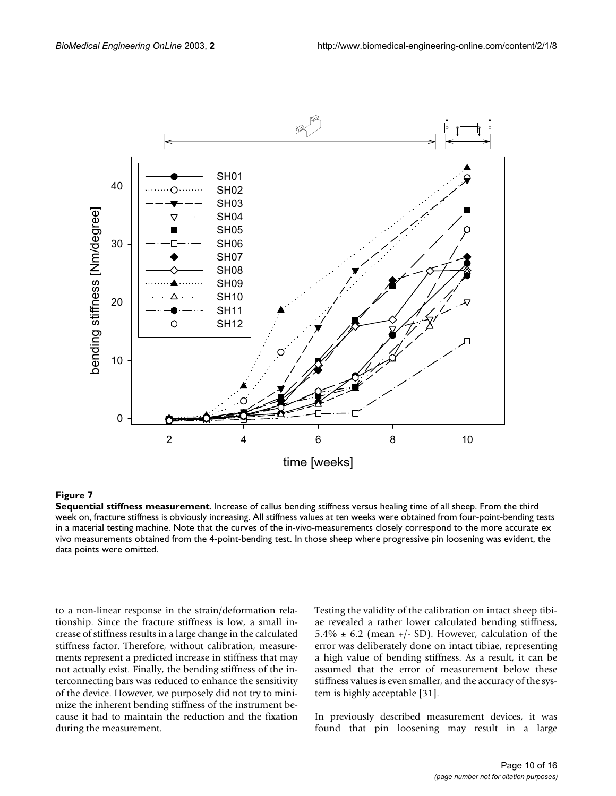

**Sequential stiffness measurement**. Increase of callus bending stiffness versus healing time of all sheep. From the third week on, fracture stiffness is obviously increasing. All stiffness values at ten weeks were obtained from four-point-bending tests in a material testing machine. Note that the curves of the in-vivo-measurements closely correspond to the more accurate ex vivo measurements obtained from the 4-point-bending test. In those sheep where progressive pin loosening was evident, the data points were omitted.

to a non-linear response in the strain/deformation relationship. Since the fracture stiffness is low, a small increase of stiffness results in a large change in the calculated stiffness factor. Therefore, without calibration, measurements represent a predicted increase in stiffness that may not actually exist. Finally, the bending stiffness of the interconnecting bars was reduced to enhance the sensitivity of the device. However, we purposely did not try to minimize the inherent bending stiffness of the instrument because it had to maintain the reduction and the fixation during the measurement.

Testing the validity of the calibration on intact sheep tibiae revealed a rather lower calculated bending stiffness, 5.4%  $\pm$  6.2 (mean +/- SD). However, calculation of the error was deliberately done on intact tibiae, representing a high value of bending stiffness. As a result, it can be assumed that the error of measurement below these stiffness values is even smaller, and the accuracy of the system is highly acceptable [31].

In previously described measurement devices, it was found that pin loosening may result in a large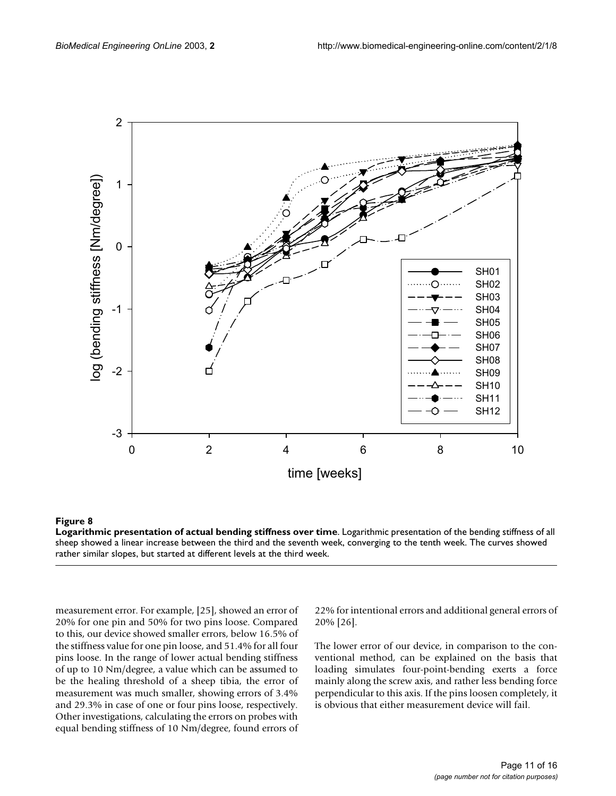

**Logarithmic presentation of actual bending stiffness over time**. Logarithmic presentation of the bending stiffness of all sheep showed a linear increase between the third and the seventh week, converging to the tenth week. The curves showed rather similar slopes, but started at different levels at the third week.

measurement error. For example, [25], showed an error of 20% for one pin and 50% for two pins loose. Compared to this, our device showed smaller errors, below 16.5% of the stiffness value for one pin loose, and 51.4% for all four pins loose. In the range of lower actual bending stiffness of up to 10 Nm/degree, a value which can be assumed to be the healing threshold of a sheep tibia, the error of measurement was much smaller, showing errors of 3.4% and 29.3% in case of one or four pins loose, respectively. Other investigations, calculating the errors on probes with equal bending stiffness of 10 Nm/degree, found errors of 22% for intentional errors and additional general errors of 20% [26].

The lower error of our device, in comparison to the conventional method, can be explained on the basis that loading simulates four-point-bending exerts a force mainly along the screw axis, and rather less bending force perpendicular to this axis. If the pins loosen completely, it is obvious that either measurement device will fail.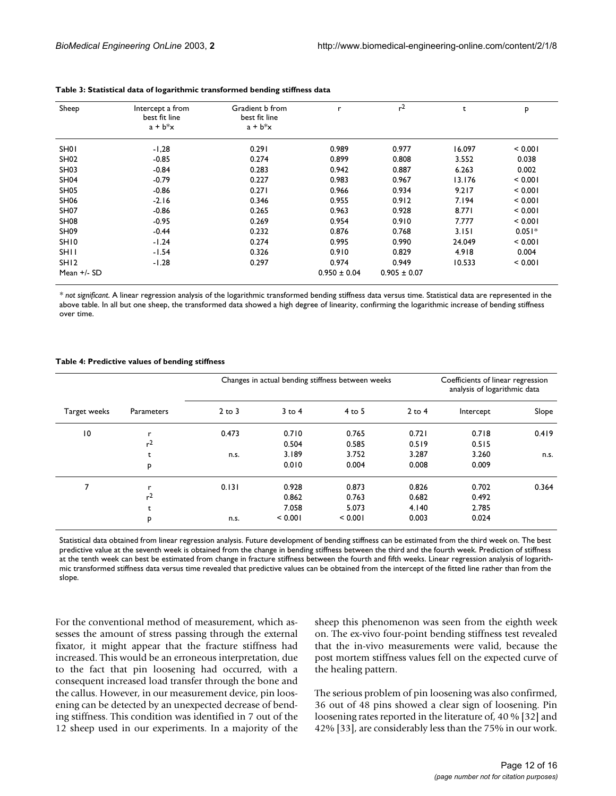| Sheep            | Intercept a from<br>best fit line<br>$a + b*x$ | Gradient b from<br>best fit line<br>$a + b^*x$ | r                | r <sup>2</sup>   | t      | P        |
|------------------|------------------------------------------------|------------------------------------------------|------------------|------------------|--------|----------|
| SH <sub>0</sub>  | $-1,28$                                        | 0.291                                          | 0.989            | 0.977            | 16.097 | < 0.001  |
| SH <sub>02</sub> | $-0.85$                                        | 0.274                                          | 0.899            | 0.808            | 3.552  | 0.038    |
| SH <sub>03</sub> | $-0.84$                                        | 0.283                                          | 0.942            | 0.887            | 6.263  | 0.002    |
| SH <sub>04</sub> | $-0.79$                                        | 0.227                                          | 0.983            | 0.967            | 13.176 | < 0.001  |
| SH <sub>05</sub> | $-0.86$                                        | 0.271                                          | 0.966            | 0.934            | 9.217  | < 0.001  |
| <b>SH06</b>      | $-2.16$                                        | 0.346                                          | 0.955            | 0.912            | 7.194  | < 0.001  |
| SH <sub>07</sub> | $-0.86$                                        | 0.265                                          | 0.963            | 0.928            | 8.771  | < 0.001  |
| SH <sub>08</sub> | $-0.95$                                        | 0.269                                          | 0.954            | 0.910            | 7.777  | < 0.001  |
| SH <sub>09</sub> | $-0.44$                                        | 0.232                                          | 0.876            | 0.768            | 3.151  | $0.051*$ |
| SH <sub>10</sub> | $-1.24$                                        | 0.274                                          | 0.995            | 0.990            | 24.049 | < 0.001  |
| <b>SHII</b>      | $-1.54$                                        | 0.326                                          | 0.910            | 0.829            | 4.918  | 0.004    |
| SH <sub>12</sub> | $-1.28$                                        | 0.297                                          | 0.974            | 0.949            | 10.533 | < 0.001  |
| Mean $+/-$ SD    |                                                |                                                | $0.950 \pm 0.04$ | $0.905 \pm 0.07$ |        |          |

#### <span id="page-11-0"></span>**Table 3: Statistical data of logarithmic transformed bending stiffness data**

*\* not significant*. A linear regression analysis of the logarithmic transformed bending stiffness data versus time. Statistical data are represented in the above table. In all but one sheep, the transformed data showed a high degree of linearity, confirming the logarithmic increase of bending stiffness over time.

#### <span id="page-11-1"></span>**Table 4: Predictive values of bending stiffness**

|              |                | Changes in actual bending stiffness between weeks |          |          | Coefficients of linear regression<br>analysis of logarithmic data |           |       |
|--------------|----------------|---------------------------------------------------|----------|----------|-------------------------------------------------------------------|-----------|-------|
| Target weeks | Parameters     | $2$ to $3$                                        | $3$ to 4 | $4$ to 5 | $2$ to 4                                                          | Intercept | Slope |
| 10           |                | 0.473                                             | 0.710    | 0.765    | 0.721                                                             | 0.718     | 0.419 |
|              | r <sup>2</sup> |                                                   | 0.504    | 0.585    | 0.519                                                             | 0.515     |       |
|              |                | n.s.                                              | 3.189    | 3.752    | 3.287                                                             | 3.260     | n.s.  |
|              | P              |                                                   | 0.010    | 0.004    | 0.008                                                             | 0.009     |       |
| ⇁            |                | 0.131                                             | 0.928    | 0.873    | 0.826                                                             | 0.702     | 0.364 |
|              | r <sup>2</sup> |                                                   | 0.862    | 0.763    | 0.682                                                             | 0.492     |       |
|              |                |                                                   | 7.058    | 5.073    | 4.140                                                             | 2.785     |       |
|              | P              | n.s.                                              | < 0.001  | < 0.001  | 0.003                                                             | 0.024     |       |

Statistical data obtained from linear regression analysis. Future development of bending stiffness can be estimated from the third week on. The best predictive value at the seventh week is obtained from the change in bending stiffness between the third and the fourth week. Prediction of stiffness at the tenth week can best be estimated from change in fracture stiffness between the fourth and fifth weeks. Linear regression analysis of logarithmic transformed stiffness data versus time revealed that predictive values can be obtained from the intercept of the fitted line rather than from the slope.

For the conventional method of measurement, which assesses the amount of stress passing through the external fixator, it might appear that the fracture stiffness had increased. This would be an erroneous interpretation, due to the fact that pin loosening had occurred, with a consequent increased load transfer through the bone and the callus. However, in our measurement device, pin loosening can be detected by an unexpected decrease of bending stiffness. This condition was identified in 7 out of the 12 sheep used in our experiments. In a majority of the sheep this phenomenon was seen from the eighth week on. The ex-vivo four-point bending stiffness test revealed that the in-vivo measurements were valid, because the post mortem stiffness values fell on the expected curve of the healing pattern.

The serious problem of pin loosening was also confirmed, 36 out of 48 pins showed a clear sign of loosening. Pin loosening rates reported in the literature of, 40 % [32] and 42% [33], are considerably less than the 75% in our work.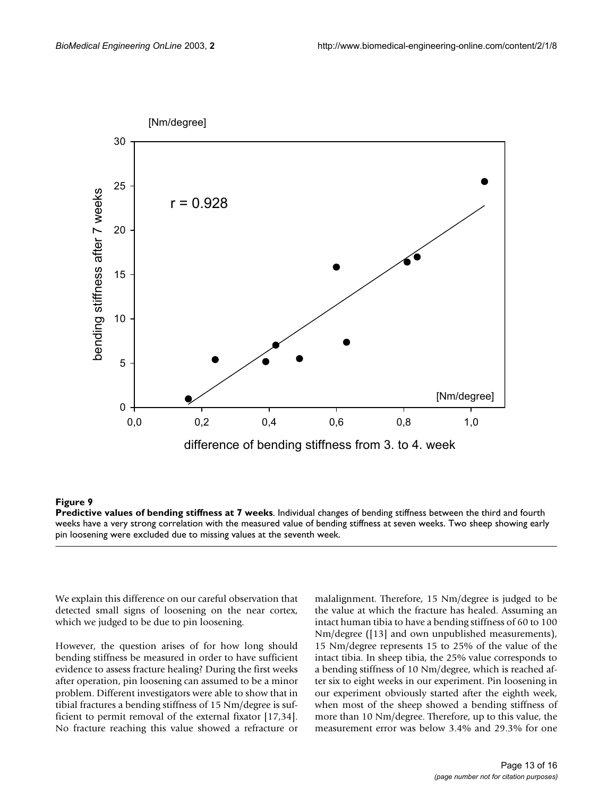<span id="page-12-0"></span>

**Predictive values of bending stiffness at 7 weeks**. Individual changes of bending stiffness between the third and fourth weeks have a very strong correlation with the measured value of bending stiffness at seven weeks. Two sheep showing early pin loosening were excluded due to missing values at the seventh week.

We explain this difference on our careful observation that detected small signs of loosening on the near cortex, which we judged to be due to pin loosening.

However, the question arises of for how long should bending stiffness be measured in order to have sufficient evidence to assess fracture healing? During the first weeks after operation, pin loosening can assumed to be a minor problem. Different investigators were able to show that in tibial fractures a bending stiffness of 15 Nm/degree is sufficient to permit removal of the external fixator [17,34]. No fracture reaching this value showed a refracture or malalignment. Therefore, 15 Nm/degree is judged to be the value at which the fracture has healed. Assuming an intact human tibia to have a bending stiffness of 60 to 100 Nm/degree ([13] and own unpublished measurements), 15 Nm/degree represents 15 to 25% of the value of the intact tibia. In sheep tibia, the 25% value corresponds to a bending stiffness of 10 Nm/degree, which is reached after six to eight weeks in our experiment. Pin loosening in our experiment obviously started after the eighth week, when most of the sheep showed a bending stiffness of more than 10 Nm/degree. Therefore, up to this value, the measurement error was below 3.4% and 29.3% for one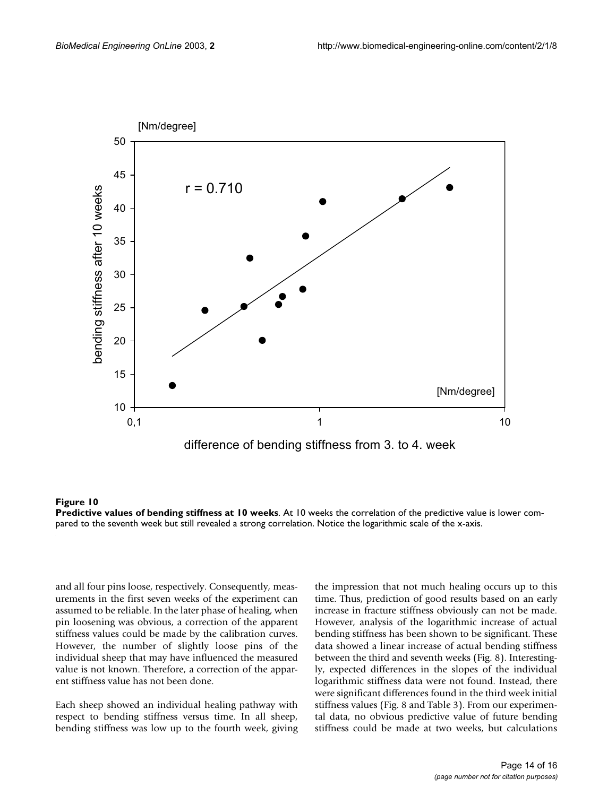<span id="page-13-0"></span>

**Predictive values of bending stiffness at 10 weeks**. At 10 weeks the correlation of the predictive value is lower compared to the seventh week but still revealed a strong correlation. Notice the logarithmic scale of the x-axis.

and all four pins loose, respectively. Consequently, measurements in the first seven weeks of the experiment can assumed to be reliable. In the later phase of healing, when pin loosening was obvious, a correction of the apparent stiffness values could be made by the calibration curves. However, the number of slightly loose pins of the individual sheep that may have influenced the measured value is not known. Therefore, a correction of the apparent stiffness value has not been done.

Each sheep showed an individual healing pathway with respect to bending stiffness versus time. In all sheep, bending stiffness was low up to the fourth week, giving the impression that not much healing occurs up to this time. Thus, prediction of good results based on an early increase in fracture stiffness obviously can not be made. However, analysis of the logarithmic increase of actual bending stiffness has been shown to be significant. These data showed a linear increase of actual bending stiffness between the third and seventh weeks (Fig. 8). Interestingly, expected differences in the slopes of the individual logarithmic stiffness data were not found. Instead, there were significant differences found in the third week initial stiffness values (Fig. 8 and Table [3\)](#page-11-0). From our experimental data, no obvious predictive value of future bending stiffness could be made at two weeks, but calculations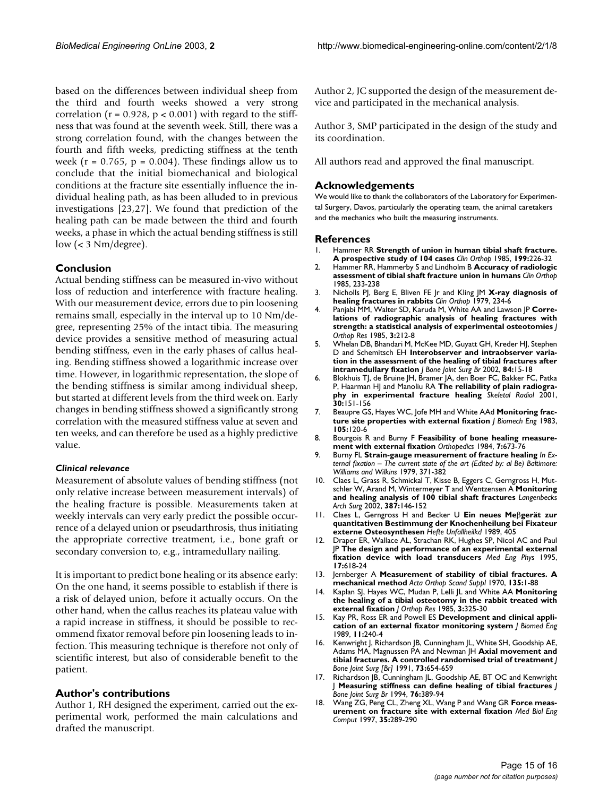based on the differences between individual sheep from the third and fourth weeks showed a very strong correlation ( $r = 0.928$ ,  $p < 0.001$ ) with regard to the stiffness that was found at the seventh week. Still, there was a strong correlation found, with the changes between the fourth and fifth weeks, predicting stiffness at the tenth week ( $r = 0.765$ ,  $p = 0.004$ ). These findings allow us to conclude that the initial biomechanical and biological conditions at the fracture site essentially influence the individual healing path, as has been alluded to in previous investigations [23,27]. We found that prediction of the healing path can be made between the third and fourth weeks, a phase in which the actual bending stiffness is still low (< 3 Nm/degree).

# **Conclusion**

Actual bending stiffness can be measured in-vivo without loss of reduction and interference with fracture healing. With our measurement device, errors due to pin loosening remains small, especially in the interval up to 10 Nm/degree, representing 25% of the intact tibia. The measuring device provides a sensitive method of measuring actual bending stiffness, even in the early phases of callus healing. Bending stiffness showed a logarithmic increase over time. However, in logarithmic representation, the slope of the bending stiffness is similar among individual sheep, but started at different levels from the third week on. Early changes in bending stiffness showed a significantly strong correlation with the measured stiffness value at seven and ten weeks, and can therefore be used as a highly predictive value.

## *Clinical relevance*

Measurement of absolute values of bending stiffness (not only relative increase between measurement intervals) of the healing fracture is possible. Measurements taken at weekly intervals can very early predict the possible occurrence of a delayed union or pseudarthrosis, thus initiating the appropriate corrective treatment, i.e., bone graft or secondary conversion to, e.g., intramedullary nailing.

It is important to predict bone healing or its absence early: On the one hand, it seems possible to establish if there is a risk of delayed union, before it actually occurs. On the other hand, when the callus reaches its plateau value with a rapid increase in stiffness, it should be possible to recommend fixator removal before pin loosening leads to infection. This measuring technique is therefore not only of scientific interest, but also of considerable benefit to the patient.

# **Author's contributions**

Author 1, RH designed the experiment, carried out the experimental work, performed the main calculations and drafted the manuscript.

Author 2, JC supported the design of the measurement device and participated in the mechanical analysis.

Author 3, SMP participated in the design of the study and its coordination.

All authors read and approved the final manuscript.

# **Acknowledgements**

We would like to thank the collaborators of the Laboratory for Experimental Surgery, Davos, particularly the operating team, the animal caretakers and the mechanics who built the measuring instruments.

## **References**

- 1. Hammer RR **[Strength of union in human tibial shaft fracture.](http://www.ncbi.nlm.nih.gov/entrez/query.fcgi?cmd=Retrieve&db=PubMed&dopt=Abstract&list_uids=4042483) [A prospective study of 104 cases](http://www.ncbi.nlm.nih.gov/entrez/query.fcgi?cmd=Retrieve&db=PubMed&dopt=Abstract&list_uids=4042483)** *Clin Orthop* 1985, **199:**226-32
- 2. Hammer RR, Hammerby S and Lindholm B **[Accuracy of radiologic](http://www.ncbi.nlm.nih.gov/entrez/query.fcgi?cmd=Retrieve&db=PubMed&dopt=Abstract&list_uids=4042484) [assessment of tibial shaft fracture union in humans](http://www.ncbi.nlm.nih.gov/entrez/query.fcgi?cmd=Retrieve&db=PubMed&dopt=Abstract&list_uids=4042484)** *Clin Orthop* 1985, 233-238
- 3. Nicholls PJ, Berg E, Bliven FE Jr and Kling JM **[X-ray diagnosis of](http://www.ncbi.nlm.nih.gov/entrez/query.fcgi?cmd=Retrieve&db=PubMed&dopt=Abstract&list_uids=498640) [healing fractures in rabbits](http://www.ncbi.nlm.nih.gov/entrez/query.fcgi?cmd=Retrieve&db=PubMed&dopt=Abstract&list_uids=498640)** *Clin Orthop* 1979, 234-6
- 4. Panjabi MM, Walter SD, Karuda M, White AA and Lawson JP **[Corre](http://www.ncbi.nlm.nih.gov/entrez/query.fcgi?cmd=Retrieve&db=PubMed&dopt=Abstract&list_uids=3998898)[lations of radiographic analysis of healing fractures with](http://www.ncbi.nlm.nih.gov/entrez/query.fcgi?cmd=Retrieve&db=PubMed&dopt=Abstract&list_uids=3998898) [strength: a statistical analysis of experimental osteotomies](http://www.ncbi.nlm.nih.gov/entrez/query.fcgi?cmd=Retrieve&db=PubMed&dopt=Abstract&list_uids=3998898)** *J Orthop Res* 1985, **3:**212-8
- 5. Whelan DB, Bhandari M, McKee MD, Guyatt GH, Kreder HJ, Stephen D and Schemitsch EH **[Interobserver and intraobserver varia](http://www.ncbi.nlm.nih.gov/entrez/query.fcgi?cmd=Retrieve&db=PubMed&dopt=Abstract&list_uids=11837825)[tion in the assessment of the healing of tibial fractures after](http://www.ncbi.nlm.nih.gov/entrez/query.fcgi?cmd=Retrieve&db=PubMed&dopt=Abstract&list_uids=11837825) [intramedullary fixation](http://www.ncbi.nlm.nih.gov/entrez/query.fcgi?cmd=Retrieve&db=PubMed&dopt=Abstract&list_uids=11837825)** *J Bone Joint Surg Br* 2002, **84:**15-18
- 6. Blokhuis TJ, de Bruine JH, Bramer JA, den Boer FC, Bakker FC, Patka P, Haarman HJ and Manoliu RA **[The reliability of plain radiogra](http://www.ncbi.nlm.nih.gov/entrez/query.fcgi?cmd=Retrieve&db=PubMed&dopt=Abstract&list_uids=11357453)[phy in experimental fracture healing](http://www.ncbi.nlm.nih.gov/entrez/query.fcgi?cmd=Retrieve&db=PubMed&dopt=Abstract&list_uids=11357453)** *Skeletal Radiol* 2001, **30:**151-156
- 7. Beaupre GS, Hayes WC, Jofe MH and White AAd **[Monitoring frac](http://www.ncbi.nlm.nih.gov/entrez/query.fcgi?cmd=Retrieve&db=PubMed&dopt=Abstract&list_uids=6865353)[ture site properties with external fixation](http://www.ncbi.nlm.nih.gov/entrez/query.fcgi?cmd=Retrieve&db=PubMed&dopt=Abstract&list_uids=6865353)** *J Biomech Eng* 1983, **105:**120-6
- 8. Bourgois R and Burny F **Feasibility of bone healing measurement with external fixation** *Orthopedics* 1984, **7:**673-76
- 9. Burny FL **Strain-gauge measurement of fracture healing** *In External fixation – The current state of the art (Edited by: al Be) Baltimore: Williams and Wilkins* 1979, 371-382
- 10. Claes L, Grass R, Schmickal T, Kisse B, Eggers C, Gerngross H, Mutschler W, Arand M, Wintermeyer T and Wentzensen A **[Monitoring](http://www.ncbi.nlm.nih.gov/entrez/query.fcgi?cmd=Retrieve&db=PubMed&dopt=Abstract&list_uids=12172859) [and healing analysis of 100 tibial shaft fractures](http://www.ncbi.nlm.nih.gov/entrez/query.fcgi?cmd=Retrieve&db=PubMed&dopt=Abstract&list_uids=12172859)** *Langenbecks Arch Surg* 2002, **387:**146-152
- 11. Claes L, Gerngross H and Becker U **Ein neues Me**β**gerät zur quantitativen Bestimmung der Knochenheilung bei Fixateur externe Osteosynthesen** *Hefte Unfallheilkd* 1989, 405
- 12. Draper ER, Wallace AL, Strachan RK, Hughes SP, Nicol AC and Paul JP **[The design and performance of an experimental external](http://www.ncbi.nlm.nih.gov/entrez/query.fcgi?cmd=Retrieve&db=PubMed&dopt=Abstract&list_uids=8564157) [fixation device with load transducers](http://www.ncbi.nlm.nih.gov/entrez/query.fcgi?cmd=Retrieve&db=PubMed&dopt=Abstract&list_uids=8564157)** *Med Eng Phys* 1995, **17:**618-24
- 13. Jernberger A **[Measurement of stability of tibial fractures. A](http://www.ncbi.nlm.nih.gov/entrez/query.fcgi?cmd=Retrieve&db=PubMed&dopt=Abstract&list_uids=5273514) [mechanical method](http://www.ncbi.nlm.nih.gov/entrez/query.fcgi?cmd=Retrieve&db=PubMed&dopt=Abstract&list_uids=5273514)** *Acta Orthop Scand Suppl* 1970, **135:**1-88
- 14. Kaplan SJ, Hayes WC, Mudan P, Lelli JL and White AA **[Monitoring](http://www.ncbi.nlm.nih.gov/entrez/query.fcgi?cmd=Retrieve&db=PubMed&dopt=Abstract&list_uids=4032104) [the healing of a tibial osteotomy in the rabbit treated with](http://www.ncbi.nlm.nih.gov/entrez/query.fcgi?cmd=Retrieve&db=PubMed&dopt=Abstract&list_uids=4032104) [external fixation](http://www.ncbi.nlm.nih.gov/entrez/query.fcgi?cmd=Retrieve&db=PubMed&dopt=Abstract&list_uids=4032104)** *J Orthop Res* 1985, **3:**325-30
- 15. Kay PR, Ross ER and Powell ES **[Development and clinical appli](http://www.ncbi.nlm.nih.gov/entrez/query.fcgi?cmd=Retrieve&db=PubMed&dopt=Abstract&list_uids=2724947)[cation of an external fixator monitoring system](http://www.ncbi.nlm.nih.gov/entrez/query.fcgi?cmd=Retrieve&db=PubMed&dopt=Abstract&list_uids=2724947)** *J Biomed Eng* 1989, **11:**240-4
- 16. Kenwright J, Richardson JB, Cunningham JL, White SH, Goodship AE, Adams MA, Magnussen PA and Newman JH **[Axial movement and](http://www.ncbi.nlm.nih.gov/entrez/query.fcgi?cmd=Retrieve&db=PubMed&dopt=Abstract&list_uids=2071654) [tibial fractures. A controlled randomised trial of treatment](http://www.ncbi.nlm.nih.gov/entrez/query.fcgi?cmd=Retrieve&db=PubMed&dopt=Abstract&list_uids=2071654)** *J Bone Joint Surg [Br]* 1991, **73:**654-659
- 17. Richardson JB, Cunningham JL, Goodship AE, BT OC and Kenwright J **[Measuring stiffness can define healing of tibial fractures](http://www.ncbi.nlm.nih.gov/entrez/query.fcgi?cmd=Retrieve&db=PubMed&dopt=Abstract&list_uids=8175839)** *J Bone Joint Surg Br* 1994, **76:**389-94
- 18. Wang ZG, Peng CL, Zheng XL, Wang P and Wang GR **[Force meas](http://www.ncbi.nlm.nih.gov/entrez/query.fcgi?cmd=Retrieve&db=PubMed&dopt=Abstract&list_uids=9246867)[urement on fracture site with external fixation](http://www.ncbi.nlm.nih.gov/entrez/query.fcgi?cmd=Retrieve&db=PubMed&dopt=Abstract&list_uids=9246867)** *Med Biol Eng Comput* 1997, **35:**289-290